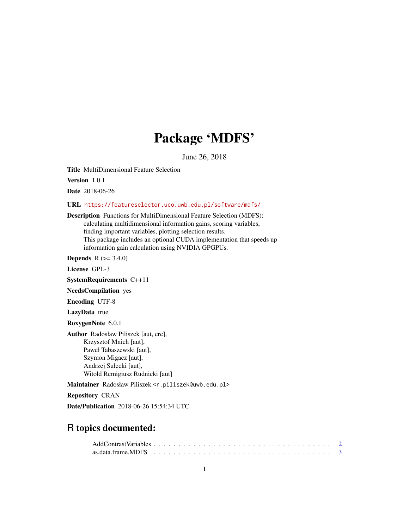## Package 'MDFS'

June 26, 2018

<span id="page-0-0"></span>Title MultiDimensional Feature Selection

Version 1.0.1

Date 2018-06-26

URL <https://featureselector.uco.uwb.edu.pl/software/mdfs/>

Description Functions for MultiDimensional Feature Selection (MDFS): calculating multidimensional information gains, scoring variables, finding important variables, plotting selection results. This package includes an optional CUDA implementation that speeds up information gain calculation using NVIDIA GPGPUs.

**Depends** R  $(>= 3.4.0)$ 

License GPL-3

SystemRequirements C++11

NeedsCompilation yes

Encoding UTF-8

LazyData true

RoxygenNote 6.0.1

Author Radosław Piliszek [aut, cre], Krzysztof Mnich [aut], Paweł Tabaszewski [aut], Szymon Migacz [aut], Andrzej Sułecki [aut], Witold Remigiusz Rudnicki [aut]

Maintainer Radosław Piliszek <r.piliszek@uwb.edu.pl>

Repository CRAN

Date/Publication 2018-06-26 15:54:34 UTC

### R topics documented: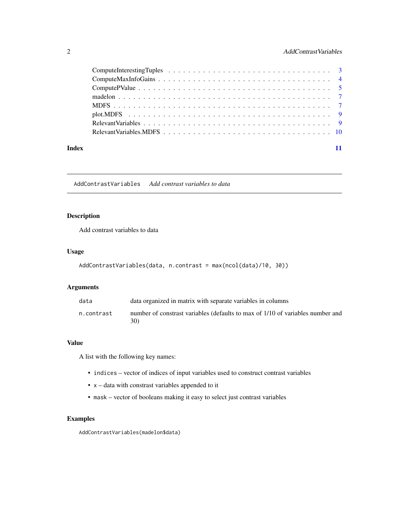<span id="page-1-0"></span>

| Index |  |
|-------|--|

AddContrastVariables *Add contrast variables to data*

#### Description

Add contrast variables to data

#### Usage

```
AddContrastVariables(data, n.contrast = max(ncol(data)/10, 30))
```
#### Arguments

| data       | data organized in matrix with separate variables in columns                           |
|------------|---------------------------------------------------------------------------------------|
| n.contrast | number of constrast variables (defaults to max of 1/10 of variables number and<br>30) |

#### Value

A list with the following key names:

- indices vector of indices of input variables used to construct contrast variables
- x data with constrast variables appended to it
- mask vector of booleans making it easy to select just contrast variables

#### Examples

AddContrastVariables(madelon\$data)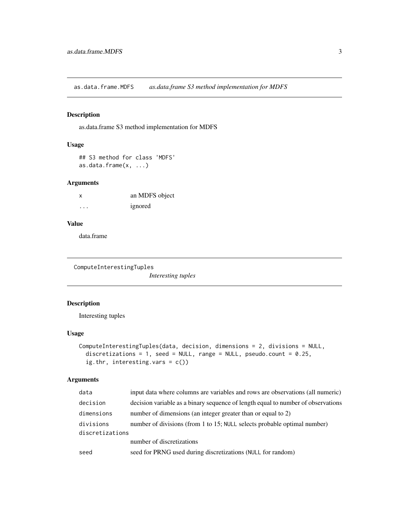<span id="page-2-0"></span>as.data.frame.MDFS *as.data.frame S3 method implementation for MDFS*

#### Description

as.data.frame S3 method implementation for MDFS

#### Usage

## S3 method for class 'MDFS' as.data.frame(x, ...)

#### Arguments

| х        | an MDFS object |
|----------|----------------|
| $\cdots$ | ignored        |

#### Value

data.frame

ComputeInterestingTuples

*Interesting tuples*

#### Description

Interesting tuples

#### Usage

```
ComputeInterestingTuples(data, decision, dimensions = 2, divisions = NULL,
 discretizations = 1, seed = NULL, range = NULL, pseudo.count = 0.25,
  ig.thr, interesting.vars = c())
```
#### Arguments

| data            | input data where columns are variables and rows are observations (all numeric)   |  |
|-----------------|----------------------------------------------------------------------------------|--|
| decision        | decision variable as a binary sequence of length equal to number of observations |  |
| dimensions      | number of dimensions (an integer greater than or equal to 2)                     |  |
| divisions       | number of divisions (from 1 to 15; NULL selects probable optimal number)         |  |
| discretizations |                                                                                  |  |
|                 | number of discretizations                                                        |  |
| seed            | seed for PRNG used during discretizations (NULL for random)                      |  |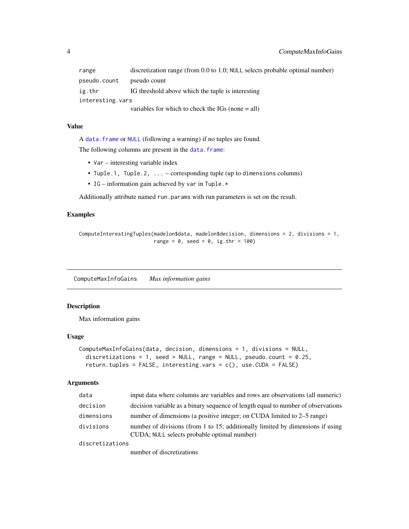<span id="page-3-0"></span>

| range            | discretization range (from 0.0 to 1.0; NULL selects probable optimal number) |  |  |  |
|------------------|------------------------------------------------------------------------------|--|--|--|
| pseudo.count     | pseudo count                                                                 |  |  |  |
| ig.thr           | IG threshold above which the tuple is interesting                            |  |  |  |
| interesting.vars |                                                                              |  |  |  |
|                  | variables for which to check the IGs (none $=$ all)                          |  |  |  |

#### Value

A [data.frame](#page-0-0) or [NULL](#page-0-0) (following a warning) if no tuples are found.

The following columns are present in the [data.frame](#page-0-0):

- Var interesting variable index
- Tuple.1, Tuple.2, ... corresponding tuple (up to dimensions columns)
- IG information gain achieved by var in Tuple.\*

Additionally attribute named run.params with run parameters is set on the result.

#### Examples

```
ComputeInterestingTuples(madelon$data, madelon$decision, dimensions = 2, divisions = 1,
                         range = 0, seed = 0, ig.thr = 100)
```
ComputeMaxInfoGains *Max information gains*

#### Description

Max information gains

#### Usage

```
ComputeMaxInfoGains(data, decision, dimensions = 1, divisions = NULL,
  discretizations = 1, seed = NULL, range = NULL, pseudo.count = 0.25,
  return.tuples = FALSE, interesting.vars = c(), use.CUDA = FALSE)
```
#### Arguments

| data            | input data where columns are variables and rows are observations (all numeric)                                                |
|-----------------|-------------------------------------------------------------------------------------------------------------------------------|
| decision        | decision variable as a binary sequence of length equal to number of observations                                              |
| dimensions      | number of dimensions (a positive integer; on CUDA limited to 2–5 range)                                                       |
| divisions       | number of divisions (from 1 to 15; additionally limited by dimensions if using<br>CUDA; NULL selects probable optimal number) |
| discretizations |                                                                                                                               |

number of discretizations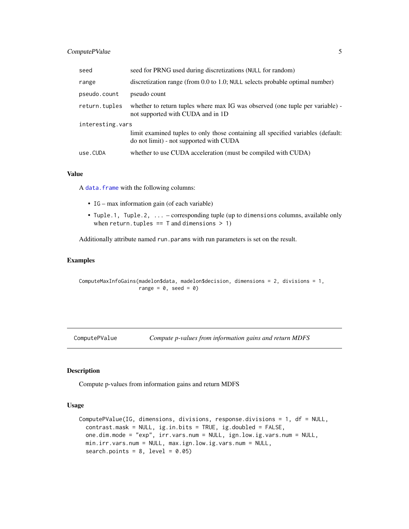#### <span id="page-4-0"></span>ComputePValue 5

| seed             | seed for PRNG used during discretizations (NULL for random)                                                                 |  |  |  |  |
|------------------|-----------------------------------------------------------------------------------------------------------------------------|--|--|--|--|
| range            | discretization range (from 0.0 to 1.0; NULL selects probable optimal number)                                                |  |  |  |  |
| pseudo.count     | pseudo count                                                                                                                |  |  |  |  |
| return.tuples    | whether to return tuples where max IG was observed (one tuple per variable) -<br>not supported with CUDA and in 1D          |  |  |  |  |
| interesting.vars |                                                                                                                             |  |  |  |  |
|                  | limit examined tuples to only those containing all specified variables (default:<br>do not limit) - not supported with CUDA |  |  |  |  |
| use.CUDA         | whether to use CUDA acceleration (must be compiled with CUDA)                                                               |  |  |  |  |

#### Value

A [data.frame](#page-0-0) with the following columns:

- IG max information gain (of each variable)
- Tuple.1, Tuple.2, ... corresponding tuple (up to dimensions columns, available only when return.tuples ==  $T$  and dimensions > 1)

Additionally attribute named run.params with run parameters is set on the result.

#### Examples

ComputeMaxInfoGains(madelon\$data, madelon\$decision, dimensions = 2, divisions = 1, range =  $0$ , seed =  $0$ )

ComputePValue *Compute p-values from information gains and return MDFS*

#### Description

Compute p-values from information gains and return MDFS

#### Usage

```
ComputePValue(IG, dimensions, divisions, response.divisions = 1, df = NULL,
 contrast.mask = NULL, ig.in.bits = TRUE, ig.doubled = FALSE,
 one.dim.mode = "exp", irr.vars.num = NULL, ign.low.ig.vars.num = NULL,
 min.irr.vars.num = NULL, max.ign.low.ig.vars.num = NULL,
  search.points = 8, level = 0.05)
```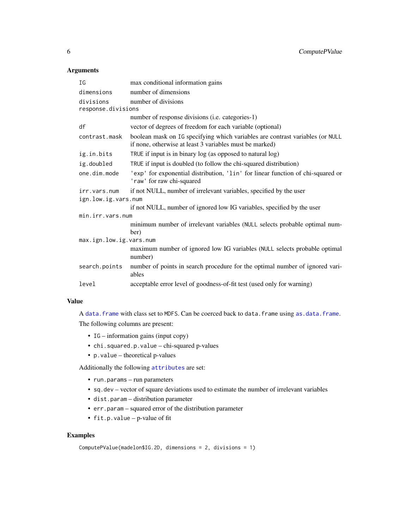#### <span id="page-5-0"></span>Arguments

| ΙG                              | max conditional information gains                                                                                                        |  |  |  |  |
|---------------------------------|------------------------------------------------------------------------------------------------------------------------------------------|--|--|--|--|
| dimensions                      | number of dimensions                                                                                                                     |  |  |  |  |
| divisions<br>response.divisions | number of divisions                                                                                                                      |  |  |  |  |
|                                 | number of response divisions (i.e. categories-1)                                                                                         |  |  |  |  |
| df                              | vector of degrees of freedom for each variable (optional)                                                                                |  |  |  |  |
| contrast.mask                   | boolean mask on IG specifying which variables are contrast variables (or NULL<br>if none, otherwise at least 3 variables must be marked) |  |  |  |  |
| ig.in.bits                      | TRUE if input is in binary log (as opposed to natural log)                                                                               |  |  |  |  |
| ig.doubled                      | TRUE if input is doubled (to follow the chi-squared distribution)                                                                        |  |  |  |  |
| one.dim.mode                    | 'exp' for exponential distribution, 'lin' for linear function of chi-squared or<br>'raw' for raw chi-squared                             |  |  |  |  |
| irr.vars.num                    | if not NULL, number of irrelevant variables, specified by the user                                                                       |  |  |  |  |
| ign.low.ig.vars.num             |                                                                                                                                          |  |  |  |  |
|                                 | if not NULL, number of ignored low IG variables, specified by the user                                                                   |  |  |  |  |
| min.irr.vars.num                |                                                                                                                                          |  |  |  |  |
|                                 | minimum number of irrelevant variables (NULL selects probable optimal num-<br>ber)                                                       |  |  |  |  |
| max.ign.low.ig.vars.num         |                                                                                                                                          |  |  |  |  |
|                                 | maximum number of ignored low IG variables (NULL selects probable optimal<br>number)                                                     |  |  |  |  |
| search.points                   | number of points in search procedure for the optimal number of ignored vari-<br>ables                                                    |  |  |  |  |
| level                           | acceptable error level of goodness-of-fit test (used only for warning)                                                                   |  |  |  |  |

#### Value

A [data.frame](#page-0-0) with class set to MDFS. Can be coerced back to data.frame using [as.data.frame](#page-0-0).

The following columns are present:

- IG information gains (input copy)
- chi.squared.p.value chi-squared p-values
- p.value theoretical p-values

Additionally the following [attributes](#page-0-0) are set:

- run.params run parameters
- sq.dev vector of square deviations used to estimate the number of irrelevant variables
- dist.param distribution parameter
- err.param squared error of the distribution parameter
- fit.p.value p-value of fit

#### Examples

```
ComputePValue(madelon$IG.2D, dimensions = 2, divisions = 1)
```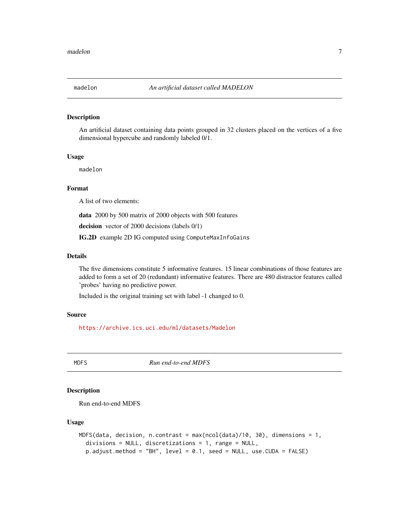<span id="page-6-0"></span>

#### Description

An artificial dataset containing data points grouped in 32 clusters placed on the vertices of a five dimensional hypercube and randomly labeled 0/1.

#### Usage

madelon

#### Format

A list of two elements:

data 2000 by 500 matrix of 2000 objects with 500 features

decision vector of 2000 decisions (labels 0/1)

IG.2D example 2D IG computed using ComputeMaxInfoGains

#### Details

The five dimensions constitute 5 informative features. 15 linear combinations of those features are added to form a set of 20 (redundant) informative features. There are 480 distractor features called 'probes' having no predictive power.

Included is the original training set with label -1 changed to 0.

#### Source

<https://archive.ics.uci.edu/ml/datasets/Madelon>

MDFS *Run end-to-end MDFS*

#### Description

Run end-to-end MDFS

#### Usage

```
MDFS(data, decision, n.contrast = max(ncol(data)/10, 30), dimensions = 1,
  divisions = NULL, discretizations = 1, range = NULL,
  p.adjust.method = "BH", level = 0.1, seed = NULL, use.CUDA = FALSE)
```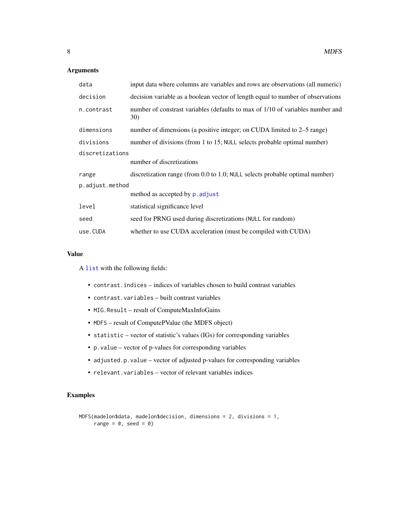#### <span id="page-7-0"></span>Arguments

| data            | input data where columns are variables and rows are observations (all numeric)        |  |  |  |
|-----------------|---------------------------------------------------------------------------------------|--|--|--|
| decision        | decision variable as a boolean vector of length equal to number of observations       |  |  |  |
| n.contrast      | number of constrast variables (defaults to max of 1/10 of variables number and<br>30) |  |  |  |
| dimensions      | number of dimensions (a positive integer; on CUDA limited to 2–5 range)               |  |  |  |
| divisions       | number of divisions (from 1 to 15; NULL selects probable optimal number)              |  |  |  |
| discretizations |                                                                                       |  |  |  |
|                 | number of discretizations                                                             |  |  |  |
| range           | discretization range (from 0.0 to 1.0; NULL selects probable optimal number)          |  |  |  |
| p.adjust.method |                                                                                       |  |  |  |
|                 | method as accepted by <b>p</b> . adjust                                               |  |  |  |
| level           | statistical significance level                                                        |  |  |  |
| seed            | seed for PRNG used during discretizations (NULL for random)                           |  |  |  |
| use.CUDA        | whether to use CUDA acceleration (must be compiled with CUDA)                         |  |  |  |

#### Value

A [list](#page-0-0) with the following fields:

- contrast.indices indices of variables chosen to build contrast variables
- contrast.variables built contrast variables
- MIG.Result result of ComputeMaxInfoGains
- MDFS result of ComputePValue (the MDFS object)
- statistic vector of statistic's values (IGs) for corresponding variables
- p.value vector of p-values for corresponding variables
- adjusted.p.value vector of adjusted p-values for corresponding variables
- relevant.variables vector of relevant variables indices

#### Examples

```
MDFS(madelon$data, madelon$decision, dimensions = 2, divisions = 1,
     range = 0, seed = 0)
```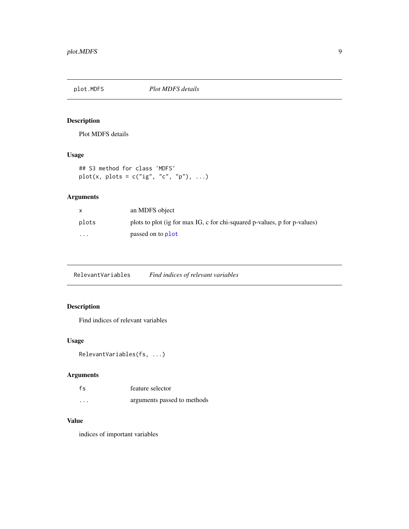<span id="page-8-0"></span>

#### Description

Plot MDFS details

#### Usage

```
## S3 method for class 'MDFS'
plot(x, plots = c("ig", "c", "p"), ...)
```
#### Arguments

|         | an MDFS object                                                            |
|---------|---------------------------------------------------------------------------|
| plots   | plots to plot (ig for max IG, c for chi-squared p-values, p for p-values) |
| $\cdot$ | passed on to plot                                                         |

RelevantVariables *Find indices of relevant variables*

#### Description

Find indices of relevant variables

#### Usage

```
RelevantVariables(fs, ...)
```
#### Arguments

| fs       | feature selector            |
|----------|-----------------------------|
| $\cdots$ | arguments passed to methods |

#### Value

indices of important variables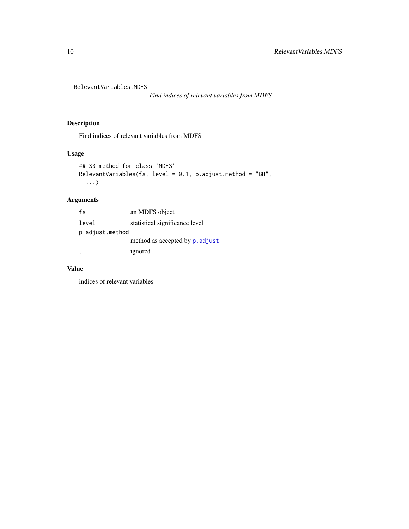<span id="page-9-0"></span>RelevantVariables.MDFS

*Find indices of relevant variables from MDFS*

#### Description

Find indices of relevant variables from MDFS

#### Usage

```
## S3 method for class 'MDFS'
RelevantVariables(fs, level = 0.1, p.adjust.method = "BH",
  ...)
```
#### Arguments

| fs              | an MDFS object                  |
|-----------------|---------------------------------|
| level           | statistical significance level  |
| p.adjust.method |                                 |
|                 | method as accepted by p. adjust |
|                 | ignored                         |

#### Value

indices of relevant variables